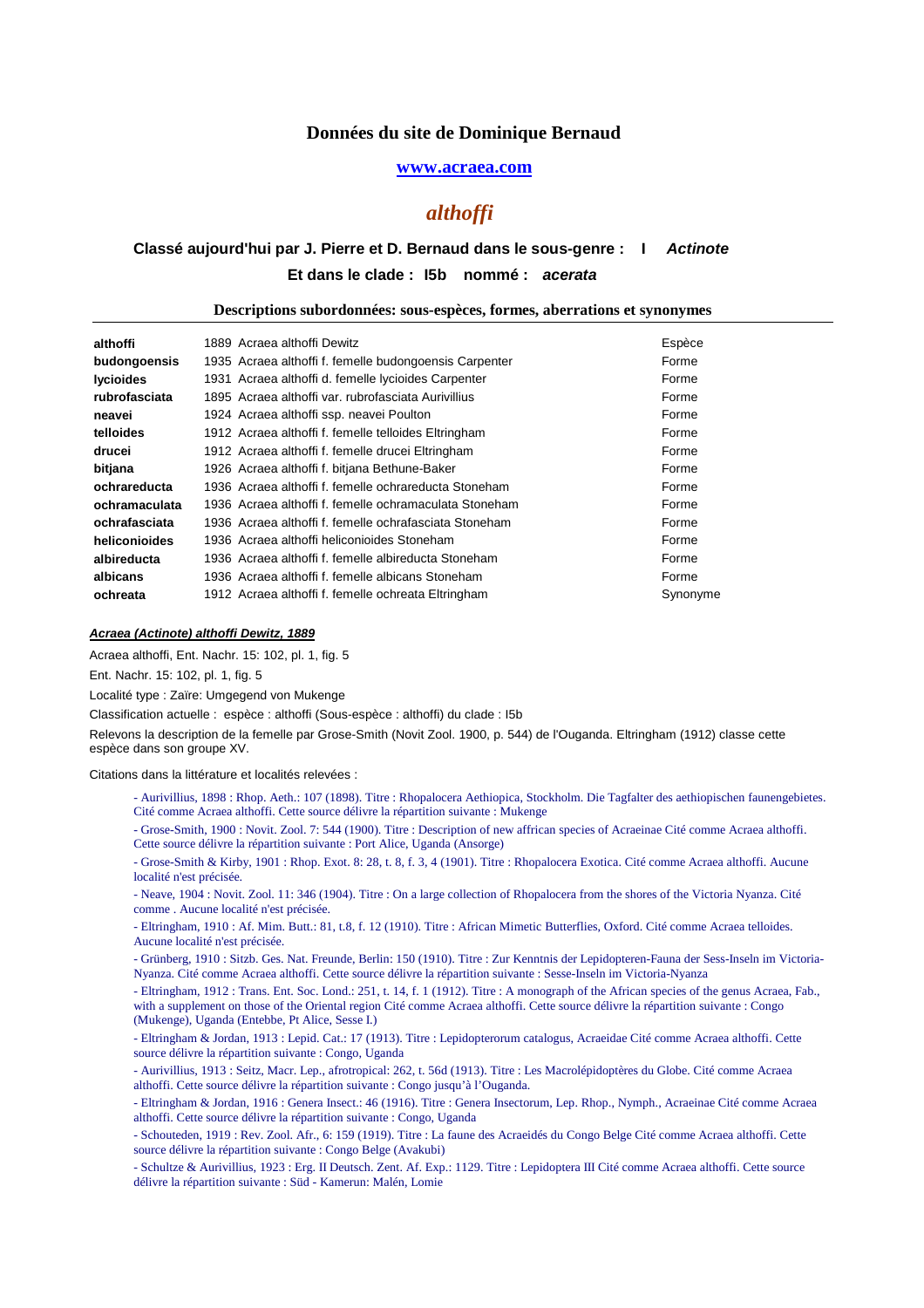## **www.acraea.com**

# *althoffi*

# Et dans le clade : 15b nommé : acerata **Classé aujourd'hui par J. Pierre et D. Bernaud dans le sous-genre : I Actinote**

#### **Descriptions subordonnées: sous-espèces, formes, aberrations et synonymes**

| althoffi         | 1889 Acraea althoffi Dewitz                            | Espèce   |
|------------------|--------------------------------------------------------|----------|
| budongoensis     | 1935 Acraea althoffi f. femelle budongoensis Carpenter | Forme    |
| <b>lycioides</b> | 1931 Acraea althoffi d. femelle lycioides Carpenter    | Forme    |
| rubrofasciata    | 1895 Acraea althoffi var. rubrofasciata Aurivillius    | Forme    |
| neavei           | 1924 Acraea althoffi ssp. neavei Poulton               | Forme    |
| telloides        | 1912 Acraea althoffi f. femelle telloides Eltringham   | Forme    |
| drucei           | 1912 Acraea althoffi f. femelle drucei Eltringham      | Forme    |
| bitjana          | 1926 Acraea althoffi f. bitjana Bethune-Baker          | Forme    |
| ochrareducta     | 1936 Acraea althoffi f. femelle ochrareducta Stoneham  | Forme    |
| ochramaculata    | 1936 Acraea althoffi f. femelle ochramaculata Stoneham | Forme    |
| ochrafasciata    | 1936 Acraea althoffi f. femelle ochrafasciata Stoneham | Forme    |
| heliconioides    | 1936 Acraea althoffi heliconioides Stoneham            | Forme    |
| albireducta      | 1936 Acraea althoffi f. femelle albireducta Stoneham   | Forme    |
| albicans         | 1936 Acraea althoffi f. femelle albicans Stoneham      | Forme    |
| ochreata         | 1912 Acraea althoffi f. femelle ochreata Eltringham    | Synonyme |

## **Acraea (Actinote) althoffi Dewitz, 1889**

Acraea althoffi, Ent. Nachr. 15: 102, pl. 1, fig. 5

Ent. Nachr. 15: 102, pl. 1, fig. 5

Localité type : Zaïre: Umgegend von Mukenge

Classification actuelle : espèce : althoffi (Sous-espèce : althoffi) du clade : I5b

Relevons la description de la femelle par Grose-Smith (Novit Zool. 1900, p. 544) de l'Ouganda. Eltringham (1912) classe cette espèce dans son groupe XV.

Citations dans la littérature et localités relevées :

- Aurivillius, 1898 : Rhop. Aeth.: 107 (1898). Titre : Rhopalocera Aethiopica, Stockholm. Die Tagfalter des aethiopischen faunengebietes. Cité comme Acraea althoffi. Cette source délivre la répartition suivante : Mukenge
- Grose-Smith, 1900 : Novit. Zool. 7: 544 (1900). Titre : Description of new affrican species of Acraeinae Cité comme Acraea althoffi. Cette source délivre la répartition suivante : Port Alice, Uganda (Ansorge)
- Grose-Smith & Kirby, 1901 : Rhop. Exot. 8: 28, t. 8, f. 3, 4 (1901). Titre : Rhopalocera Exotica. Cité comme Acraea althoffi. Aucune localité n'est précisée.

- Neave, 1904 : Novit. Zool. 11: 346 (1904). Titre : On a large collection of Rhopalocera from the shores of the Victoria Nyanza. Cité comme . Aucune localité n'est précisée.

- Eltringham, 1910 : Af. Mim. Butt.: 81, t.8, f. 12 (1910). Titre : African Mimetic Butterflies, Oxford. Cité comme Acraea telloides. Aucune localité n'est précisée.

- Grünberg, 1910 : Sitzb. Ges. Nat. Freunde, Berlin: 150 (1910). Titre : Zur Kenntnis der Lepidopteren-Fauna der Sess-Inseln im Victoria-Nyanza. Cité comme Acraea althoffi. Cette source délivre la répartition suivante : Sesse-Inseln im Victoria-Nyanza
- Eltringham, 1912 : Trans. Ent. Soc. Lond.: 251, t. 14, f. 1 (1912). Titre : A monograph of the African species of the genus Acraea, Fab., with a supplement on those of the Oriental region Cité comme Acraea althoffi. Cette source délivre la répartition suivante : Congo (Mukenge), Uganda (Entebbe, Pt Alice, Sesse I.)

- Eltringham & Jordan, 1913 : Lepid. Cat.: 17 (1913). Titre : Lepidopterorum catalogus, Acraeidae Cité comme Acraea althoffi. Cette source délivre la répartition suivante : Congo, Uganda

- Aurivillius, 1913 : Seitz, Macr. Lep., afrotropical: 262, t. 56d (1913). Titre : Les Macrolépidoptères du Globe. Cité comme Acraea althoffi. Cette source délivre la répartition suivante : Congo jusqu'à l'Ouganda.

- Eltringham & Jordan, 1916 : Genera Insect.: 46 (1916). Titre : Genera Insectorum, Lep. Rhop., Nymph., Acraeinae Cité comme Acraea althoffi. Cette source délivre la répartition suivante : Congo, Uganda

- Schouteden, 1919 : Rev. Zool. Afr., 6: 159 (1919). Titre : La faune des Acraeidés du Congo Belge Cité comme Acraea althoffi. Cette source délivre la répartition suivante : Congo Belge (Avakubi)

- Schultze & Aurivillius, 1923 : Erg. II Deutsch. Zent. Af. Exp.: 1129. Titre : Lepidoptera III Cité comme Acraea althoffi. Cette source délivre la répartition suivante : Süd - Kamerun: Malén, Lomie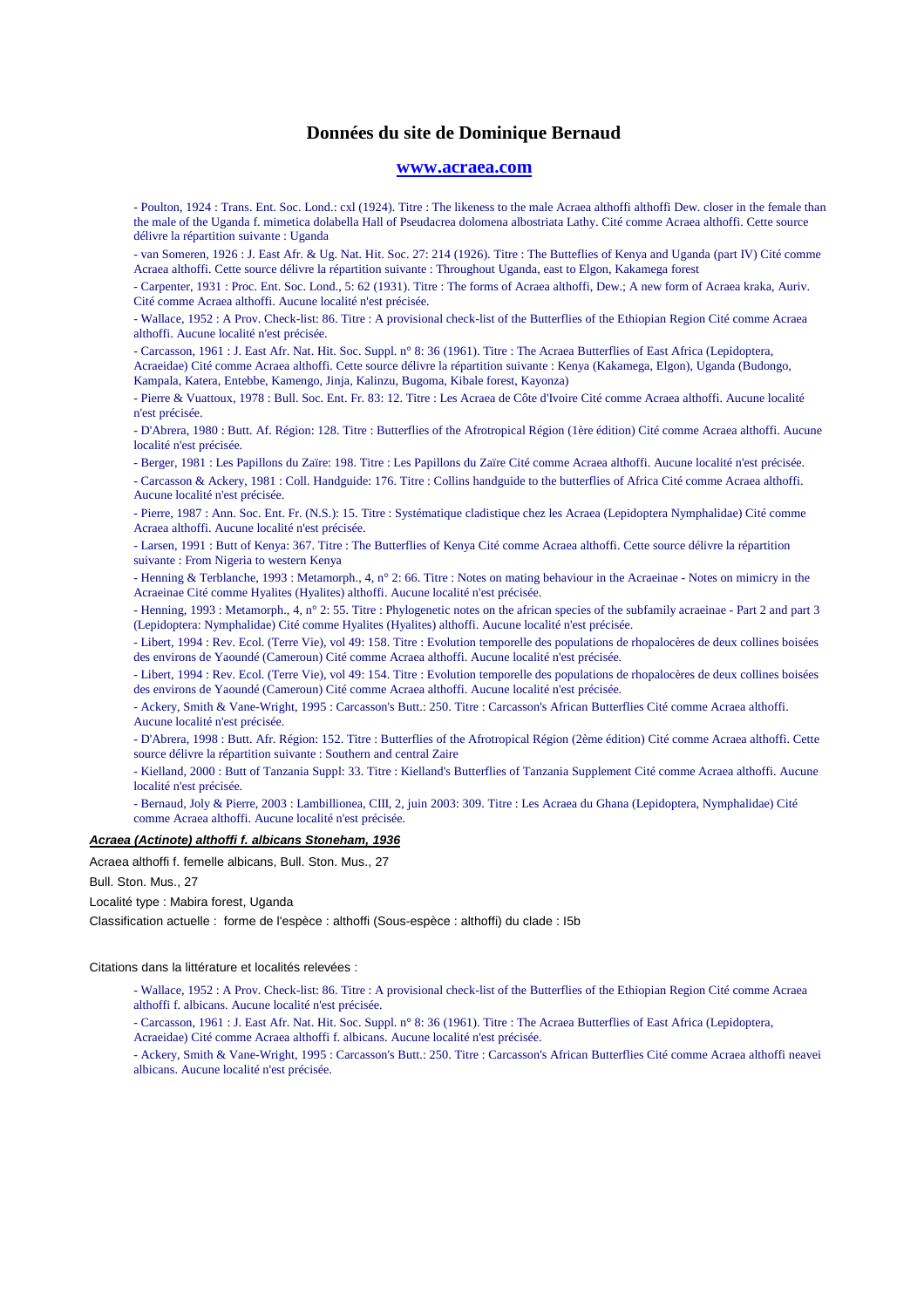## **www.acraea.com**

- Poulton, 1924 : Trans. Ent. Soc. Lond.: cxl (1924). Titre : The likeness to the male Acraea althoffi althoffi Dew. closer in the female than the male of the Uganda f. mimetica dolabella Hall of Pseudacrea dolomena albostriata Lathy. Cité comme Acraea althoffi. Cette source délivre la répartition suivante : Uganda

- van Someren, 1926 : J. East Afr. & Ug. Nat. Hit. Soc. 27: 214 (1926). Titre : The Butteflies of Kenya and Uganda (part IV) Cité comme Acraea althoffi. Cette source délivre la répartition suivante : Throughout Uganda, east to Elgon, Kakamega forest

- Carpenter, 1931 : Proc. Ent. Soc. Lond., 5: 62 (1931). Titre : The forms of Acraea althoffi, Dew.; A new form of Acraea kraka, Auriv. Cité comme Acraea althoffi. Aucune localité n'est précisée.

- Wallace, 1952 : A Prov. Check-list: 86. Titre : A provisional check-list of the Butterflies of the Ethiopian Region Cité comme Acraea althoffi. Aucune localité n'est précisée.

- Carcasson, 1961 : J. East Afr. Nat. Hit. Soc. Suppl. n° 8: 36 (1961). Titre : The Acraea Butterflies of East Africa (Lepidoptera, Acraeidae) Cité comme Acraea althoffi. Cette source délivre la répartition suivante : Kenya (Kakamega, Elgon), Uganda (Budongo, Kampala, Katera, Entebbe, Kamengo, Jinja, Kalinzu, Bugoma, Kibale forest, Kayonza)

- Pierre & Vuattoux, 1978 : Bull. Soc. Ent. Fr. 83: 12. Titre : Les Acraea de Côte d'Ivoire Cité comme Acraea althoffi. Aucune localité n'est précisée.

- D'Abrera, 1980 : Butt. Af. Région: 128. Titre : Butterflies of the Afrotropical Région (1ère édition) Cité comme Acraea althoffi. Aucune localité n'est précisée.

- Berger, 1981 : Les Papillons du Zaïre: 198. Titre : Les Papillons du Zaïre Cité comme Acraea althoffi. Aucune localité n'est précisée.

- Carcasson & Ackery, 1981 : Coll. Handguide: 176. Titre : Collins handguide to the butterflies of Africa Cité comme Acraea althoffi. Aucune localité n'est précisée.

- Pierre, 1987 : Ann. Soc. Ent. Fr. (N.S.): 15. Titre : Systématique cladistique chez les Acraea (Lepidoptera Nymphalidae) Cité comme Acraea althoffi. Aucune localité n'est précisée.

- Larsen, 1991 : Butt of Kenya: 367. Titre : The Butterflies of Kenya Cité comme Acraea althoffi. Cette source délivre la répartition suivante : From Nigeria to western Kenya

- Henning & Terblanche, 1993 : Metamorph., 4, n° 2: 66. Titre : Notes on mating behaviour in the Acraeinae - Notes on mimicry in the Acraeinae Cité comme Hyalites (Hyalites) althoffi. Aucune localité n'est précisée.

- Henning, 1993 : Metamorph., 4, n° 2: 55. Titre : Phylogenetic notes on the african species of the subfamily acraeinae - Part 2 and part 3 (Lepidoptera: Nymphalidae) Cité comme Hyalites (Hyalites) althoffi. Aucune localité n'est précisée.

- Libert, 1994 : Rev. Ecol. (Terre Vie), vol 49: 158. Titre : Evolution temporelle des populations de rhopalocères de deux collines boisées des environs de Yaoundé (Cameroun) Cité comme Acraea althoffi. Aucune localité n'est précisée.

- Libert, 1994 : Rev. Ecol. (Terre Vie), vol 49: 154. Titre : Evolution temporelle des populations de rhopalocères de deux collines boisées des environs de Yaoundé (Cameroun) Cité comme Acraea althoffi. Aucune localité n'est précisée.

- Ackery, Smith & Vane-Wright, 1995 : Carcasson's Butt.: 250. Titre : Carcasson's African Butterflies Cité comme Acraea althoffi. Aucune localité n'est précisée.

- D'Abrera, 1998 : Butt. Afr. Région: 152. Titre : Butterflies of the Afrotropical Région (2ème édition) Cité comme Acraea althoffi. Cette source délivre la répartition suivante : Southern and central Zaire

- Kielland, 2000 : Butt of Tanzania Suppl: 33. Titre : Kielland's Butterflies of Tanzania Supplement Cité comme Acraea althoffi. Aucune localité n'est précisée.

- Bernaud, Joly & Pierre, 2003 : Lambillionea, CIII, 2, juin 2003: 309. Titre : Les Acraea du Ghana (Lepidoptera, Nymphalidae) Cité comme Acraea althoffi. Aucune localité n'est précisée.

## **Acraea (Actinote) althoffi f. albicans Stoneham, 1936**

Acraea althoffi f. femelle albicans, Bull. Ston. Mus., 27

Bull. Ston. Mus., 27

Localité type : Mabira forest, Uganda

Classification actuelle : forme de l'espèce : althoffi (Sous-espèce : althoffi) du clade : I5b

#### Citations dans la littérature et localités relevées :

- Wallace, 1952 : A Prov. Check-list: 86. Titre : A provisional check-list of the Butterflies of the Ethiopian Region Cité comme Acraea althoffi f. albicans. Aucune localité n'est précisée.

- Carcasson, 1961 : J. East Afr. Nat. Hit. Soc. Suppl. n° 8: 36 (1961). Titre : The Acraea Butterflies of East Africa (Lepidoptera,

Acraeidae) Cité comme Acraea althoffi f. albicans. Aucune localité n'est précisée.

- Ackery, Smith & Vane-Wright, 1995 : Carcasson's Butt.: 250. Titre : Carcasson's African Butterflies Cité comme Acraea althoffi neavei albicans. Aucune localité n'est précisée.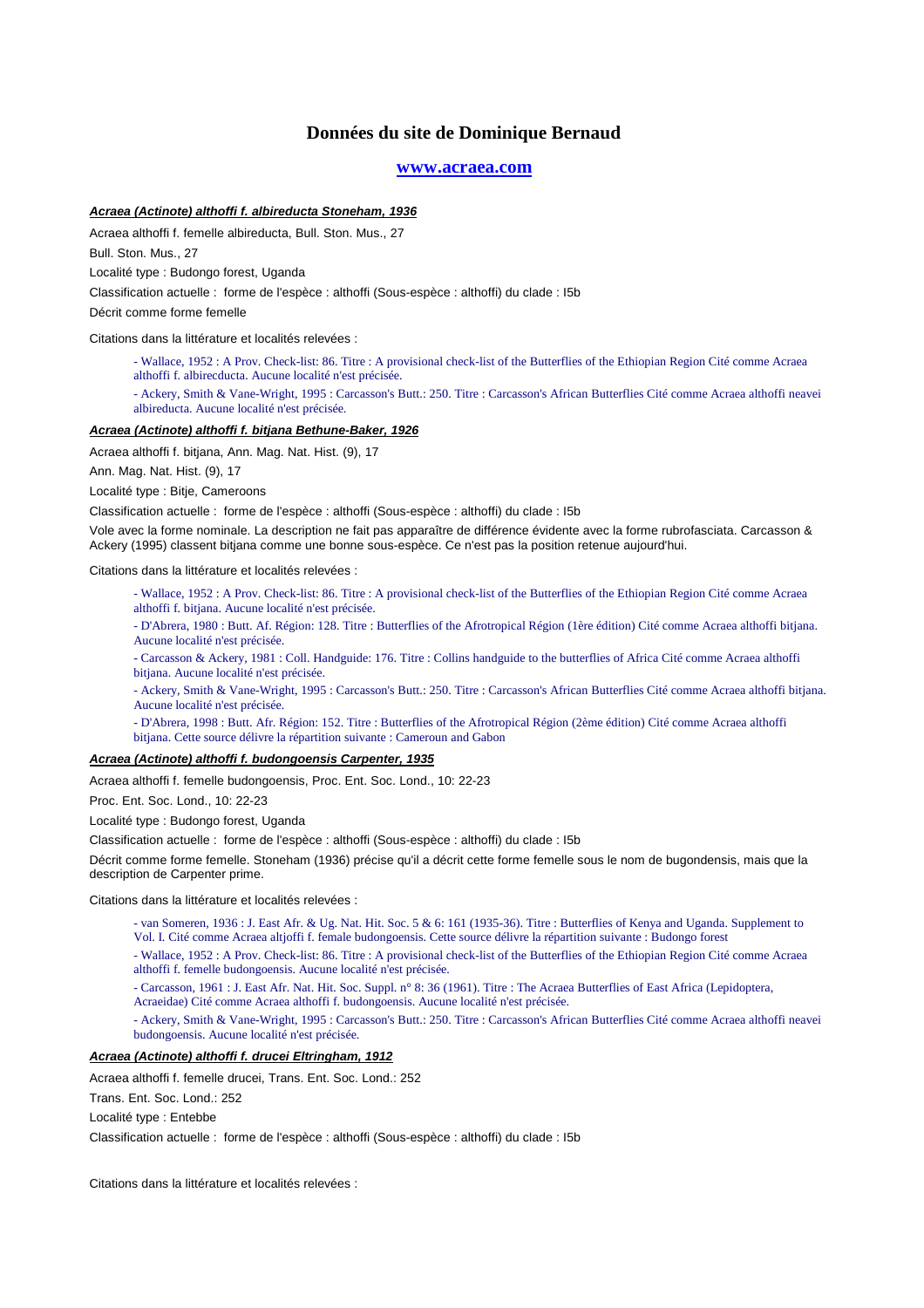## **www.acraea.com**

## **Acraea (Actinote) althoffi f. albireducta Stoneham, 1936**

Acraea althoffi f. femelle albireducta, Bull. Ston. Mus., 27

Bull. Ston. Mus., 27

Localité type : Budongo forest, Uganda

Classification actuelle : forme de l'espèce : althoffi (Sous-espèce : althoffi) du clade : I5b

Décrit comme forme femelle

Citations dans la littérature et localités relevées :

- Wallace, 1952 : A Prov. Check-list: 86. Titre : A provisional check-list of the Butterflies of the Ethiopian Region Cité comme Acraea althoffi f. albirecducta. Aucune localité n'est précisée.
- Ackery, Smith & Vane-Wright, 1995 : Carcasson's Butt.: 250. Titre : Carcasson's African Butterflies Cité comme Acraea althoffi neavei albireducta. Aucune localité n'est précisée.

#### **Acraea (Actinote) althoffi f. bitjana Bethune-Baker, 1926**

Acraea althoffi f. bitjana, Ann. Mag. Nat. Hist. (9), 17

Ann. Mag. Nat. Hist. (9), 17

Localité type : Bitje, Cameroons

Classification actuelle : forme de l'espèce : althoffi (Sous-espèce : althoffi) du clade : I5b

Vole avec la forme nominale. La description ne fait pas apparaître de différence évidente avec la forme rubrofasciata. Carcasson & Ackery (1995) classent bitjana comme une bonne sous-espèce. Ce n'est pas la position retenue aujourd'hui.

Citations dans la littérature et localités relevées :

- Wallace, 1952 : A Prov. Check-list: 86. Titre : A provisional check-list of the Butterflies of the Ethiopian Region Cité comme Acraea althoffi f. bitjana. Aucune localité n'est précisée.
- D'Abrera, 1980 : Butt. Af. Région: 128. Titre : Butterflies of the Afrotropical Région (1ère édition) Cité comme Acraea althoffi bitjana. Aucune localité n'est précisée.
- Carcasson & Ackery, 1981 : Coll. Handguide: 176. Titre : Collins handguide to the butterflies of Africa Cité comme Acraea althoffi bitjana. Aucune localité n'est précisée.
- Ackery, Smith & Vane-Wright, 1995 : Carcasson's Butt.: 250. Titre : Carcasson's African Butterflies Cité comme Acraea althoffi bitjana. Aucune localité n'est précisée.
- D'Abrera, 1998 : Butt. Afr. Région: 152. Titre : Butterflies of the Afrotropical Région (2ème édition) Cité comme Acraea althoffi bitjana. Cette source délivre la répartition suivante : Cameroun and Gabon

#### **Acraea (Actinote) althoffi f. budongoensis Carpenter, 1935**

Acraea althoffi f. femelle budongoensis, Proc. Ent. Soc. Lond., 10: 22-23

Proc. Ent. Soc. Lond., 10: 22-23

Localité type : Budongo forest, Uganda

Classification actuelle : forme de l'espèce : althoffi (Sous-espèce : althoffi) du clade : I5b

Décrit comme forme femelle. Stoneham (1936) précise qu'il a décrit cette forme femelle sous le nom de bugondensis, mais que la description de Carpenter prime.

Citations dans la littérature et localités relevées :

- van Someren, 1936 : J. East Afr. & Ug. Nat. Hit. Soc. 5 & 6: 161 (1935-36). Titre : Butterflies of Kenya and Uganda. Supplement to

Vol. I. Cité comme Acraea altjoffi f. female budongoensis. Cette source délivre la répartition suivante : Budongo forest

- Wallace, 1952 : A Prov. Check-list: 86. Titre : A provisional check-list of the Butterflies of the Ethiopian Region Cité comme Acraea althoffi f. femelle budongoensis. Aucune localité n'est précisée.
- Carcasson, 1961 : J. East Afr. Nat. Hit. Soc. Suppl. n° 8: 36 (1961). Titre : The Acraea Butterflies of East Africa (Lepidoptera,
- Acraeidae) Cité comme Acraea althoffi f. budongoensis. Aucune localité n'est précisée.

- Ackery, Smith & Vane-Wright, 1995 : Carcasson's Butt.: 250. Titre : Carcasson's African Butterflies Cité comme Acraea althoffi neavei budongoensis. Aucune localité n'est précisée.

### **Acraea (Actinote) althoffi f. drucei Eltringham, 1912**

Acraea althoffi f. femelle drucei, Trans. Ent. Soc. Lond.: 252

Trans. Ent. Soc. Lond.: 252

Localité type : Entebbe

Classification actuelle : forme de l'espèce : althoffi (Sous-espèce : althoffi) du clade : I5b

Citations dans la littérature et localités relevées :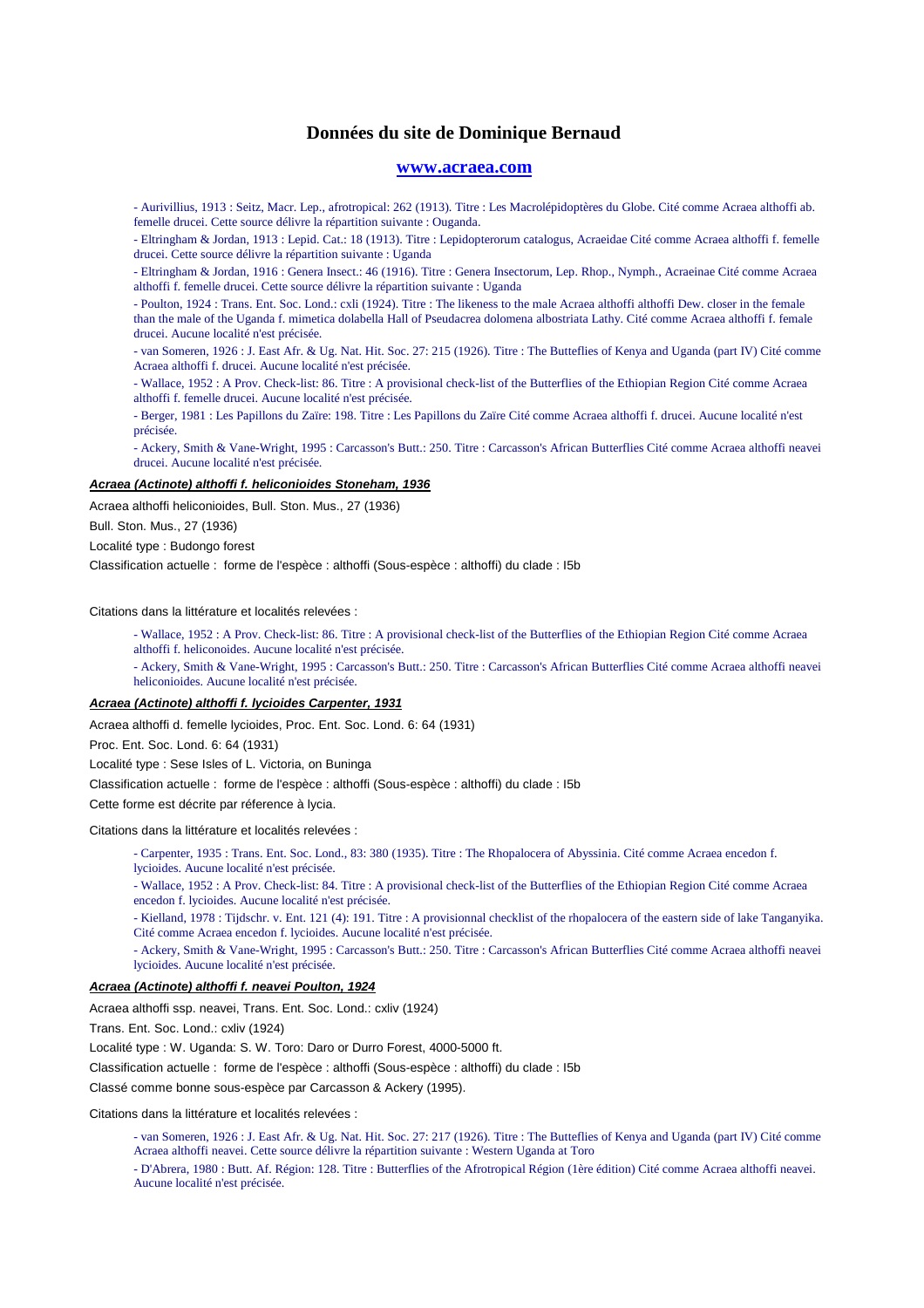## **www.acraea.com**

- Aurivillius, 1913 : Seitz, Macr. Lep., afrotropical: 262 (1913). Titre : Les Macrolépidoptères du Globe. Cité comme Acraea althoffi ab. femelle drucei. Cette source délivre la répartition suivante : Ouganda.

- Eltringham & Jordan, 1913 : Lepid. Cat.: 18 (1913). Titre : Lepidopterorum catalogus, Acraeidae Cité comme Acraea althoffi f. femelle drucei. Cette source délivre la répartition suivante : Uganda

- Eltringham & Jordan, 1916 : Genera Insect.: 46 (1916). Titre : Genera Insectorum, Lep. Rhop., Nymph., Acraeinae Cité comme Acraea althoffi f. femelle drucei. Cette source délivre la répartition suivante : Uganda

- Poulton, 1924 : Trans. Ent. Soc. Lond.: cxli (1924). Titre : The likeness to the male Acraea althoffi althoffi Dew. closer in the female than the male of the Uganda f. mimetica dolabella Hall of Pseudacrea dolomena albostriata Lathy. Cité comme Acraea althoffi f. female drucei. Aucune localité n'est précisée.

- van Someren, 1926 : J. East Afr. & Ug. Nat. Hit. Soc. 27: 215 (1926). Titre : The Butteflies of Kenya and Uganda (part IV) Cité comme Acraea althoffi f. drucei. Aucune localité n'est précisée.

- Wallace, 1952 : A Prov. Check-list: 86. Titre : A provisional check-list of the Butterflies of the Ethiopian Region Cité comme Acraea althoffi f. femelle drucei. Aucune localité n'est précisée.

- Berger, 1981 : Les Papillons du Zaïre: 198. Titre : Les Papillons du Zaïre Cité comme Acraea althoffi f. drucei. Aucune localité n'est précisée.

- Ackery, Smith & Vane-Wright, 1995 : Carcasson's Butt.: 250. Titre : Carcasson's African Butterflies Cité comme Acraea althoffi neavei drucei. Aucune localité n'est précisée.

## **Acraea (Actinote) althoffi f. heliconioides Stoneham, 1936**

Acraea althoffi heliconioides, Bull. Ston. Mus., 27 (1936)

Bull. Ston. Mus., 27 (1936)

Localité type : Budongo forest

Classification actuelle : forme de l'espèce : althoffi (Sous-espèce : althoffi) du clade : I5b

Citations dans la littérature et localités relevées :

- Wallace, 1952 : A Prov. Check-list: 86. Titre : A provisional check-list of the Butterflies of the Ethiopian Region Cité comme Acraea althoffi f. heliconoides. Aucune localité n'est précisée.
- Ackery, Smith & Vane-Wright, 1995 : Carcasson's Butt.: 250. Titre : Carcasson's African Butterflies Cité comme Acraea althoffi neavei heliconioides. Aucune localité n'est précisée.

## **Acraea (Actinote) althoffi f. lycioides Carpenter, 1931**

Acraea althoffi d. femelle lycioides, Proc. Ent. Soc. Lond. 6: 64 (1931)

Proc. Ent. Soc. Lond. 6: 64 (1931)

Localité type : Sese Isles of L. Victoria, on Buninga

Classification actuelle : forme de l'espèce : althoffi (Sous-espèce : althoffi) du clade : I5b

Cette forme est décrite par réference à lycia.

Citations dans la littérature et localités relevées :

- Carpenter, 1935 : Trans. Ent. Soc. Lond., 83: 380 (1935). Titre : The Rhopalocera of Abyssinia. Cité comme Acraea encedon f. lycioides. Aucune localité n'est précisée.
- Wallace, 1952 : A Prov. Check-list: 84. Titre : A provisional check-list of the Butterflies of the Ethiopian Region Cité comme Acraea encedon f. lycioides. Aucune localité n'est précisée.

- Kielland, 1978 : Tijdschr. v. Ent. 121 (4): 191. Titre : A provisionnal checklist of the rhopalocera of the eastern side of lake Tanganyika. Cité comme Acraea encedon f. lycioides. Aucune localité n'est précisée.

- Ackery, Smith & Vane-Wright, 1995 : Carcasson's Butt.: 250. Titre : Carcasson's African Butterflies Cité comme Acraea althoffi neavei lycioides. Aucune localité n'est précisée.

#### **Acraea (Actinote) althoffi f. neavei Poulton, 1924**

Acraea althoffi ssp. neavei, Trans. Ent. Soc. Lond.: cxliv (1924)

Trans. Ent. Soc. Lond.: cxliv (1924)

Localité type : W. Uganda: S. W. Toro: Daro or Durro Forest, 4000-5000 ft.

Classification actuelle : forme de l'espèce : althoffi (Sous-espèce : althoffi) du clade : I5b

Classé comme bonne sous-espèce par Carcasson & Ackery (1995).

Citations dans la littérature et localités relevées :

- van Someren, 1926 : J. East Afr. & Ug. Nat. Hit. Soc. 27: 217 (1926). Titre : The Butteflies of Kenya and Uganda (part IV) Cité comme Acraea althoffi neavei. Cette source délivre la répartition suivante : Western Uganda at Toro
- D'Abrera, 1980 : Butt. Af. Région: 128. Titre : Butterflies of the Afrotropical Région (1ère édition) Cité comme Acraea althoffi neavei. Aucune localité n'est précisée.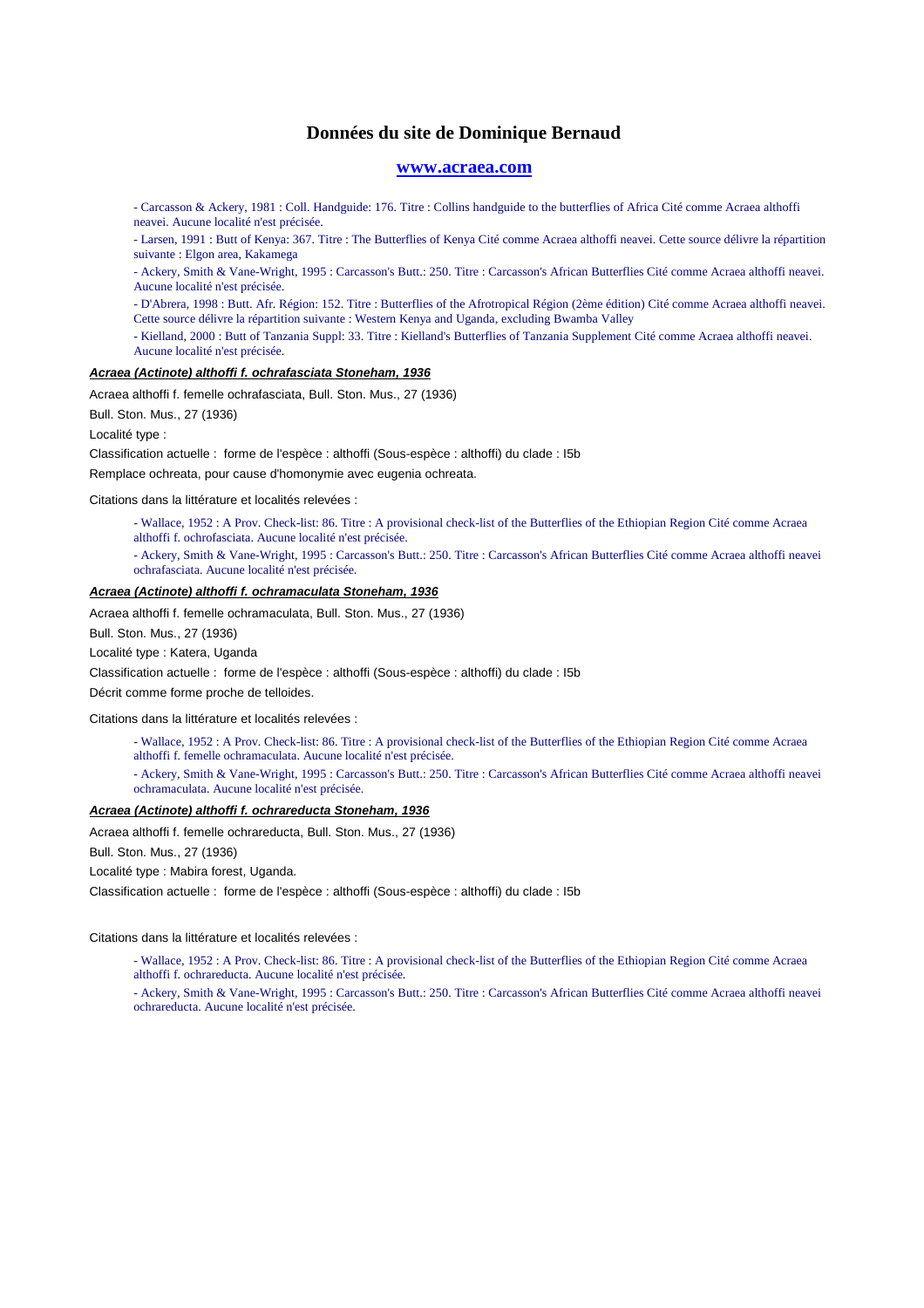## **www.acraea.com**

- Carcasson & Ackery, 1981 : Coll. Handguide: 176. Titre : Collins handguide to the butterflies of Africa Cité comme Acraea althoffi neavei. Aucune localité n'est précisée.

- Larsen, 1991 : Butt of Kenya: 367. Titre : The Butterflies of Kenya Cité comme Acraea althoffi neavei. Cette source délivre la répartition suivante : Elgon area, Kakamega

- Ackery, Smith & Vane-Wright, 1995 : Carcasson's Butt.: 250. Titre : Carcasson's African Butterflies Cité comme Acraea althoffi neavei. Aucune localité n'est précisée.

- D'Abrera, 1998 : Butt. Afr. Région: 152. Titre : Butterflies of the Afrotropical Région (2ème édition) Cité comme Acraea althoffi neavei. Cette source délivre la répartition suivante : Western Kenya and Uganda, excluding Bwamba Valley

- Kielland, 2000 : Butt of Tanzania Suppl: 33. Titre : Kielland's Butterflies of Tanzania Supplement Cité comme Acraea althoffi neavei. Aucune localité n'est précisée.

## **Acraea (Actinote) althoffi f. ochrafasciata Stoneham, 1936**

Acraea althoffi f. femelle ochrafasciata, Bull. Ston. Mus., 27 (1936)

Bull. Ston. Mus., 27 (1936)

Localité type :

Classification actuelle : forme de l'espèce : althoffi (Sous-espèce : althoffi) du clade : I5b

Remplace ochreata, pour cause d'homonymie avec eugenia ochreata.

Citations dans la littérature et localités relevées :

- Wallace, 1952 : A Prov. Check-list: 86. Titre : A provisional check-list of the Butterflies of the Ethiopian Region Cité comme Acraea althoffi f. ochrofasciata. Aucune localité n'est précisée.

- Ackery, Smith & Vane-Wright, 1995 : Carcasson's Butt.: 250. Titre : Carcasson's African Butterflies Cité comme Acraea althoffi neavei ochrafasciata. Aucune localité n'est précisée.

## **Acraea (Actinote) althoffi f. ochramaculata Stoneham, 1936**

Acraea althoffi f. femelle ochramaculata, Bull. Ston. Mus., 27 (1936)

Bull. Ston. Mus., 27 (1936)

Localité type : Katera, Uganda

Classification actuelle : forme de l'espèce : althoffi (Sous-espèce : althoffi) du clade : I5b

Décrit comme forme proche de telloides.

Citations dans la littérature et localités relevées :

- Wallace, 1952 : A Prov. Check-list: 86. Titre : A provisional check-list of the Butterflies of the Ethiopian Region Cité comme Acraea althoffi f. femelle ochramaculata. Aucune localité n'est précisée.

- Ackery, Smith & Vane-Wright, 1995 : Carcasson's Butt.: 250. Titre : Carcasson's African Butterflies Cité comme Acraea althoffi neavei ochramaculata. Aucune localité n'est précisée.

#### **Acraea (Actinote) althoffi f. ochrareducta Stoneham, 1936**

Acraea althoffi f. femelle ochrareducta, Bull. Ston. Mus., 27 (1936)

Bull. Ston. Mus., 27 (1936)

Localité type : Mabira forest, Uganda.

Classification actuelle : forme de l'espèce : althoffi (Sous-espèce : althoffi) du clade : I5b

Citations dans la littérature et localités relevées :

- Wallace, 1952 : A Prov. Check-list: 86. Titre : A provisional check-list of the Butterflies of the Ethiopian Region Cité comme Acraea althoffi f. ochrareducta. Aucune localité n'est précisée.

- Ackery, Smith & Vane-Wright, 1995 : Carcasson's Butt.: 250. Titre : Carcasson's African Butterflies Cité comme Acraea althoffi neavei ochrareducta. Aucune localité n'est précisée.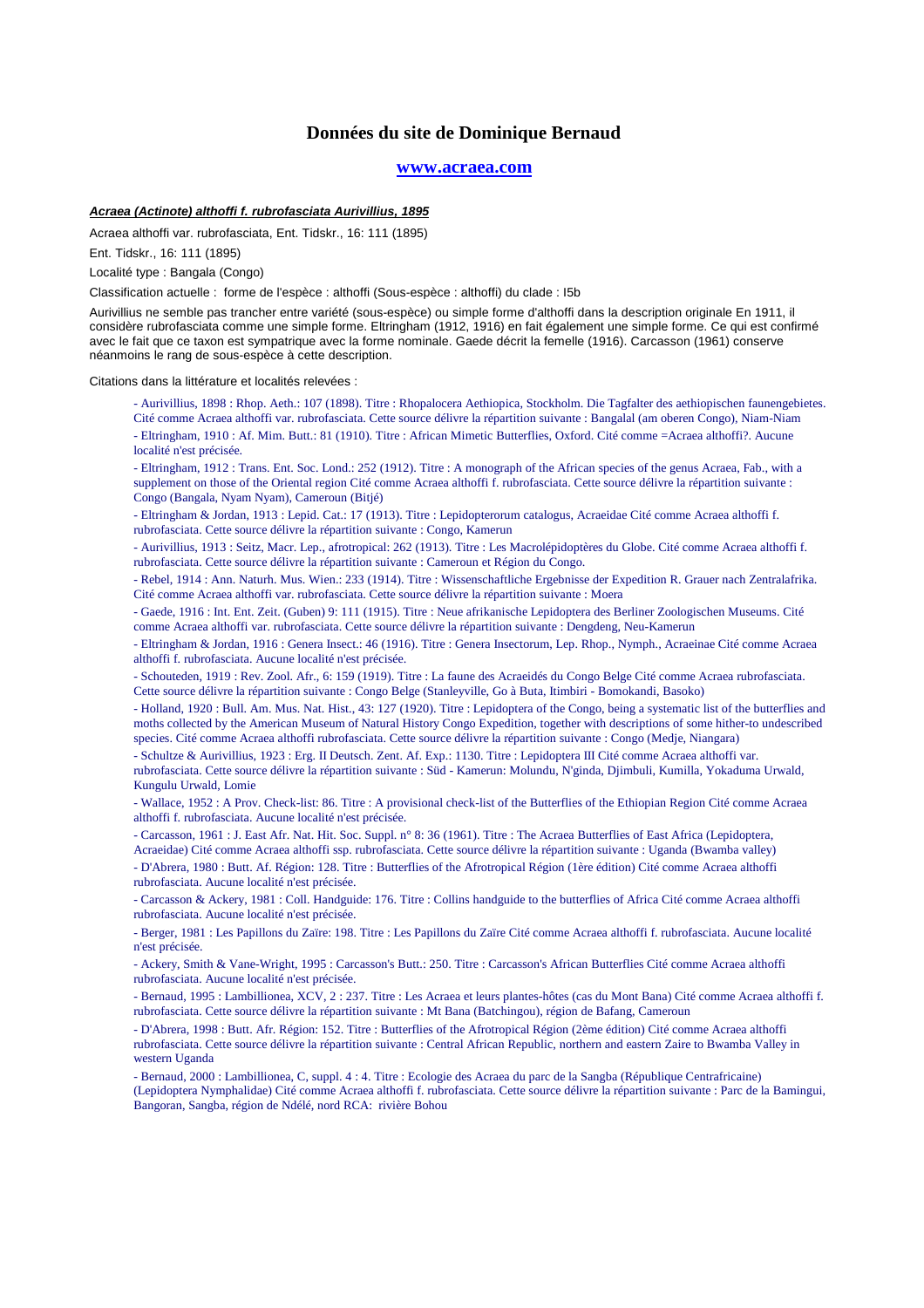### **www.acraea.com**

## **Acraea (Actinote) althoffi f. rubrofasciata Aurivillius, 1895**

Acraea althoffi var. rubrofasciata, Ent. Tidskr., 16: 111 (1895)

Ent. Tidskr., 16: 111 (1895)

Localité type : Bangala (Congo)

Classification actuelle : forme de l'espèce : althoffi (Sous-espèce : althoffi) du clade : I5b

Aurivillius ne semble pas trancher entre variété (sous-espèce) ou simple forme d'althoffi dans la description originale En 1911, il considère rubrofasciata comme une simple forme. Eltringham (1912, 1916) en fait également une simple forme. Ce qui est confirmé avec le fait que ce taxon est sympatrique avec la forme nominale. Gaede décrit la femelle (1916). Carcasson (1961) conserve néanmoins le rang de sous-espèce à cette description.

Citations dans la littérature et localités relevées :

- Aurivillius, 1898 : Rhop. Aeth.: 107 (1898). Titre : Rhopalocera Aethiopica, Stockholm. Die Tagfalter des aethiopischen faunengebietes. Cité comme Acraea althoffi var. rubrofasciata. Cette source délivre la répartition suivante : Bangalal (am oberen Congo), Niam-Niam - Eltringham, 1910 : Af. Mim. Butt.: 81 (1910). Titre : African Mimetic Butterflies, Oxford. Cité comme =Acraea althoffi?. Aucune localité n'est précisée.

- Eltringham, 1912 : Trans. Ent. Soc. Lond.: 252 (1912). Titre : A monograph of the African species of the genus Acraea, Fab., with a supplement on those of the Oriental region Cité comme Acraea althoffi f. rubrofasciata. Cette source délivre la répartition suivante : Congo (Bangala, Nyam Nyam), Cameroun (Bitjé)

- Eltringham & Jordan, 1913 : Lepid. Cat.: 17 (1913). Titre : Lepidopterorum catalogus, Acraeidae Cité comme Acraea althoffi f. rubrofasciata. Cette source délivre la répartition suivante : Congo, Kamerun

- Aurivillius, 1913 : Seitz, Macr. Lep., afrotropical: 262 (1913). Titre : Les Macrolépidoptères du Globe. Cité comme Acraea althoffi f. rubrofasciata. Cette source délivre la répartition suivante : Cameroun et Région du Congo.

- Rebel, 1914 : Ann. Naturh. Mus. Wien.: 233 (1914). Titre : Wissenschaftliche Ergebnisse der Expedition R. Grauer nach Zentralafrika. Cité comme Acraea althoffi var. rubrofasciata. Cette source délivre la répartition suivante : Moera

- Gaede, 1916 : Int. Ent. Zeit. (Guben) 9: 111 (1915). Titre : Neue afrikanische Lepidoptera des Berliner Zoologischen Museums. Cité comme Acraea althoffi var. rubrofasciata. Cette source délivre la répartition suivante : Dengdeng, Neu-Kamerun

- Eltringham & Jordan, 1916 : Genera Insect.: 46 (1916). Titre : Genera Insectorum, Lep. Rhop., Nymph., Acraeinae Cité comme Acraea althoffi f. rubrofasciata. Aucune localité n'est précisée.

- Schouteden, 1919 : Rev. Zool. Afr., 6: 159 (1919). Titre : La faune des Acraeidés du Congo Belge Cité comme Acraea rubrofasciata. Cette source délivre la répartition suivante : Congo Belge (Stanleyville, Go à Buta, Itimbiri - Bomokandi, Basoko)

- Holland, 1920 : Bull. Am. Mus. Nat. Hist., 43: 127 (1920). Titre : Lepidoptera of the Congo, being a systematic list of the butterflies and moths collected by the American Museum of Natural History Congo Expedition, together with descriptions of some hither-to undescribed species. Cité comme Acraea althoffi rubrofasciata. Cette source délivre la répartition suivante : Congo (Medje, Niangara)

- Schultze & Aurivillius, 1923 : Erg. II Deutsch. Zent. Af. Exp.: 1130. Titre : Lepidoptera III Cité comme Acraea althoffi var. rubrofasciata. Cette source délivre la répartition suivante : Süd - Kamerun: Molundu, N'ginda, Djimbuli, Kumilla, Yokaduma Urwald, Kungulu Urwald, Lomie

- Wallace, 1952 : A Prov. Check-list: 86. Titre : A provisional check-list of the Butterflies of the Ethiopian Region Cité comme Acraea althoffi f. rubrofasciata. Aucune localité n'est précisée.

- Carcasson, 1961 : J. East Afr. Nat. Hit. Soc. Suppl. n° 8: 36 (1961). Titre : The Acraea Butterflies of East Africa (Lepidoptera,

Acraeidae) Cité comme Acraea althoffi ssp. rubrofasciata. Cette source délivre la répartition suivante : Uganda (Bwamba valley) - D'Abrera, 1980 : Butt. Af. Région: 128. Titre : Butterflies of the Afrotropical Région (1ère édition) Cité comme Acraea althoffi rubrofasciata. Aucune localité n'est précisée.

- Carcasson & Ackery, 1981 : Coll. Handguide: 176. Titre : Collins handguide to the butterflies of Africa Cité comme Acraea althoffi rubrofasciata. Aucune localité n'est précisée.

- Berger, 1981 : Les Papillons du Zaïre: 198. Titre : Les Papillons du Zaïre Cité comme Acraea althoffi f. rubrofasciata. Aucune localité n'est précisée.

- Ackery, Smith & Vane-Wright, 1995 : Carcasson's Butt.: 250. Titre : Carcasson's African Butterflies Cité comme Acraea althoffi rubrofasciata. Aucune localité n'est précisée.

- Bernaud, 1995 : Lambillionea, XCV, 2 : 237. Titre : Les Acraea et leurs plantes-hôtes (cas du Mont Bana) Cité comme Acraea althoffi f. rubrofasciata. Cette source délivre la répartition suivante : Mt Bana (Batchingou), région de Bafang, Cameroun

- D'Abrera, 1998 : Butt. Afr. Région: 152. Titre : Butterflies of the Afrotropical Région (2ème édition) Cité comme Acraea althoffi rubrofasciata. Cette source délivre la répartition suivante : Central African Republic, northern and eastern Zaire to Bwamba Valley in western Uganda

- Bernaud, 2000 : Lambillionea, C, suppl. 4 : 4. Titre : Ecologie des Acraea du parc de la Sangba (République Centrafricaine) (Lepidoptera Nymphalidae) Cité comme Acraea althoffi f. rubrofasciata. Cette source délivre la répartition suivante : Parc de la Bamingui, Bangoran, Sangba, région de Ndélé, nord RCA: rivière Bohou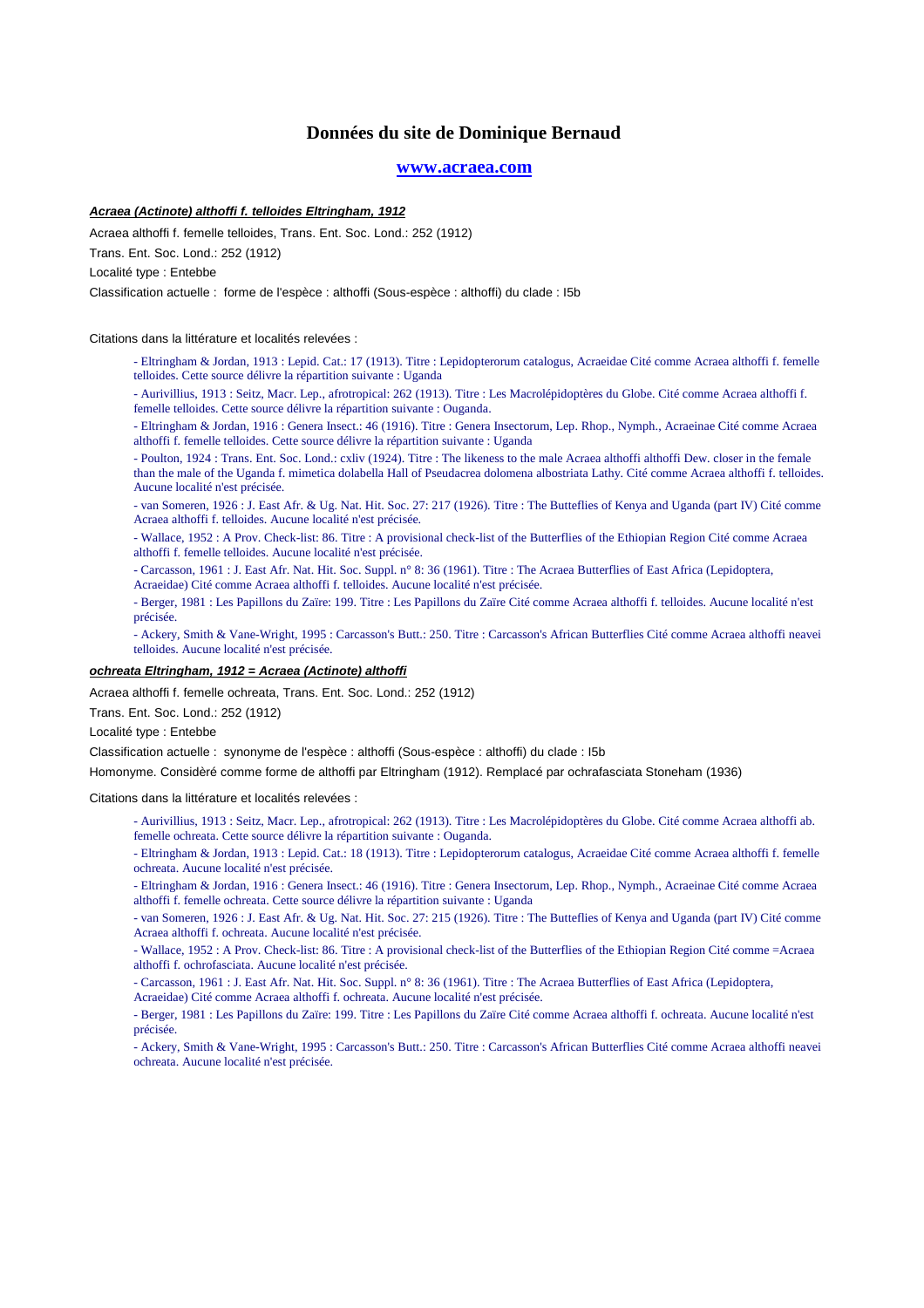## **www.acraea.com**

## **Acraea (Actinote) althoffi f. telloides Eltringham, 1912**

Acraea althoffi f. femelle telloides, Trans. Ent. Soc. Lond.: 252 (1912)

Trans. Ent. Soc. Lond.: 252 (1912)

Localité type : Entebbe

Classification actuelle : forme de l'espèce : althoffi (Sous-espèce : althoffi) du clade : I5b

Citations dans la littérature et localités relevées :

- Eltringham & Jordan, 1913 : Lepid. Cat.: 17 (1913). Titre : Lepidopterorum catalogus, Acraeidae Cité comme Acraea althoffi f. femelle telloides. Cette source délivre la répartition suivante : Uganda

- Aurivillius, 1913 : Seitz, Macr. Lep., afrotropical: 262 (1913). Titre : Les Macrolépidoptères du Globe. Cité comme Acraea althoffi f. femelle telloides. Cette source délivre la répartition suivante : Ouganda.

- Eltringham & Jordan, 1916 : Genera Insect.: 46 (1916). Titre : Genera Insectorum, Lep. Rhop., Nymph., Acraeinae Cité comme Acraea althoffi f. femelle telloides. Cette source délivre la répartition suivante : Uganda
- Poulton, 1924 : Trans. Ent. Soc. Lond.: cxliv (1924). Titre : The likeness to the male Acraea althoffi althoffi Dew. closer in the female than the male of the Uganda f. mimetica dolabella Hall of Pseudacrea dolomena albostriata Lathy. Cité comme Acraea althoffi f. telloides. Aucune localité n'est précisée.
- van Someren, 1926 : J. East Afr. & Ug. Nat. Hit. Soc. 27: 217 (1926). Titre : The Butteflies of Kenya and Uganda (part IV) Cité comme Acraea althoffi f. telloides. Aucune localité n'est précisée.
- Wallace, 1952 : A Prov. Check-list: 86. Titre : A provisional check-list of the Butterflies of the Ethiopian Region Cité comme Acraea althoffi f. femelle telloides. Aucune localité n'est précisée.
- Carcasson, 1961 : J. East Afr. Nat. Hit. Soc. Suppl. n° 8: 36 (1961). Titre : The Acraea Butterflies of East Africa (Lepidoptera, Acraeidae) Cité comme Acraea althoffi f. telloides. Aucune localité n'est précisée.
- Berger, 1981 : Les Papillons du Zaïre: 199. Titre : Les Papillons du Zaïre Cité comme Acraea althoffi f. telloides. Aucune localité n'est précisée.
- Ackery, Smith & Vane-Wright, 1995 : Carcasson's Butt.: 250. Titre : Carcasson's African Butterflies Cité comme Acraea althoffi neavei telloides. Aucune localité n'est précisée.

## **ochreata Eltringham, 1912 = Acraea (Actinote) althoffi**

Acraea althoffi f. femelle ochreata, Trans. Ent. Soc. Lond.: 252 (1912)

Trans. Ent. Soc. Lond.: 252 (1912)

Localité type : Entebbe

Classification actuelle : synonyme de l'espèce : althoffi (Sous-espèce : althoffi) du clade : I5b

Homonyme. Considèré comme forme de althoffi par Eltringham (1912). Remplacé par ochrafasciata Stoneham (1936)

Citations dans la littérature et localités relevées :

- Aurivillius, 1913 : Seitz, Macr. Lep., afrotropical: 262 (1913). Titre : Les Macrolépidoptères du Globe. Cité comme Acraea althoffi ab. femelle ochreata. Cette source délivre la répartition suivante : Ouganda.
- Eltringham & Jordan, 1913 : Lepid. Cat.: 18 (1913). Titre : Lepidopterorum catalogus, Acraeidae Cité comme Acraea althoffi f. femelle ochreata. Aucune localité n'est précisée.
- Eltringham & Jordan, 1916 : Genera Insect.: 46 (1916). Titre : Genera Insectorum, Lep. Rhop., Nymph., Acraeinae Cité comme Acraea althoffi f. femelle ochreata. Cette source délivre la répartition suivante : Uganda
- van Someren, 1926 : J. East Afr. & Ug. Nat. Hit. Soc. 27: 215 (1926). Titre : The Butteflies of Kenya and Uganda (part IV) Cité comme Acraea althoffi f. ochreata. Aucune localité n'est précisée.
- Wallace, 1952 : A Prov. Check-list: 86. Titre : A provisional check-list of the Butterflies of the Ethiopian Region Cité comme =Acraea althoffi f. ochrofasciata. Aucune localité n'est précisée.
- Carcasson, 1961 : J. East Afr. Nat. Hit. Soc. Suppl. n° 8: 36 (1961). Titre : The Acraea Butterflies of East Africa (Lepidoptera,
- Acraeidae) Cité comme Acraea althoffi f. ochreata. Aucune localité n'est précisée.

- Berger, 1981 : Les Papillons du Zaïre: 199. Titre : Les Papillons du Zaïre Cité comme Acraea althoffi f. ochreata. Aucune localité n'est précisée.

- Ackery, Smith & Vane-Wright, 1995 : Carcasson's Butt.: 250. Titre : Carcasson's African Butterflies Cité comme Acraea althoffi neavei ochreata. Aucune localité n'est précisée.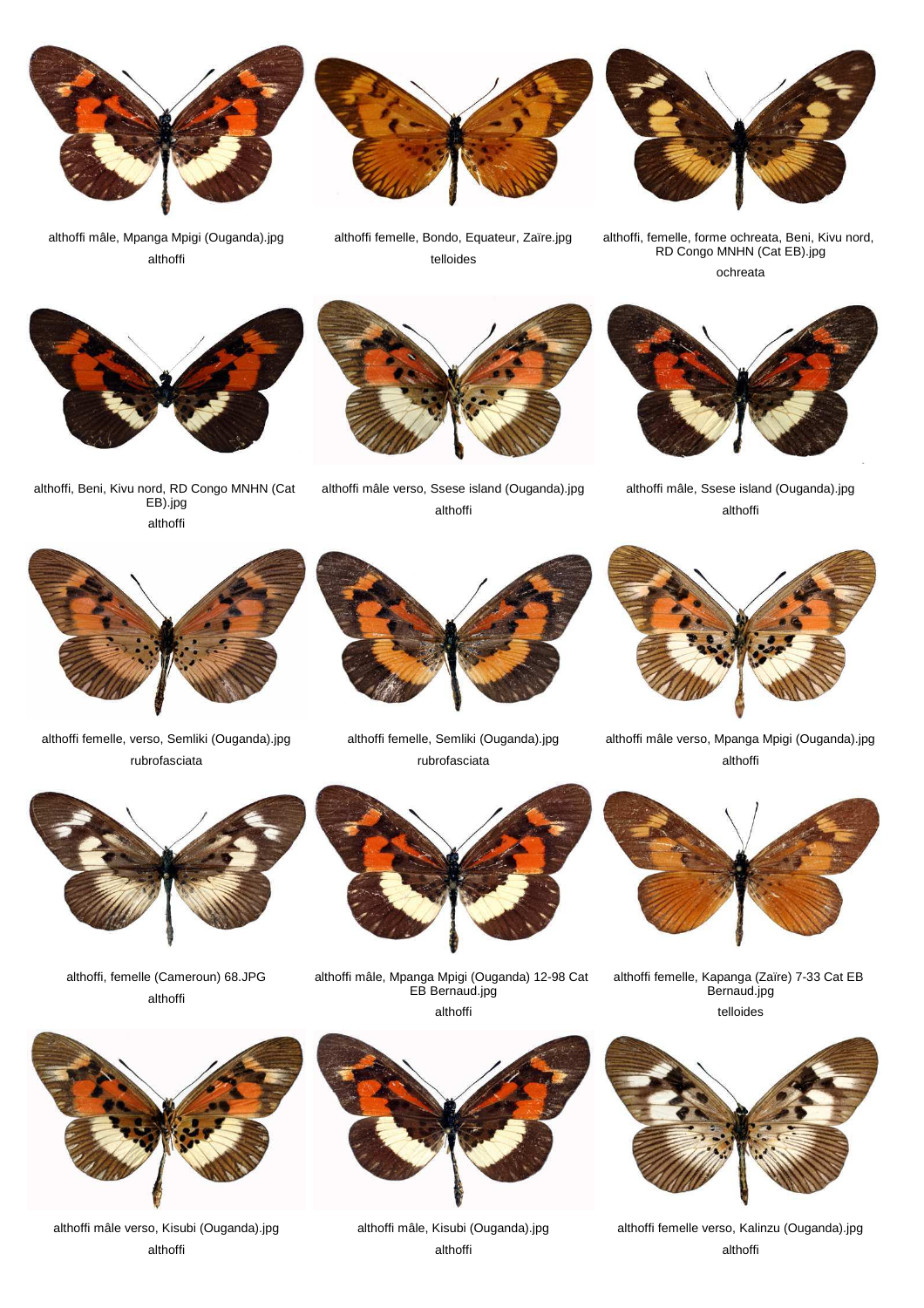

althoffi mâle, Mpanga Mpigi (Ouganda).jpg althoffi



althoffi femelle, Bondo, Equateur, Zaïre.jpg telloides



althoffi, femelle, forme ochreata, Beni, Kivu nord, RD Congo MNHN (Cat EB).jpg ochreata



althoffi, Beni, Kivu nord, RD Congo MNHN (Cat EB).jpg althoffi

althoffi mâle verso, Ssese island (Ouganda).jpg althoffi



althoffi mâle, Ssese island (Ouganda).jpg althoffi



althoffi femelle, verso, Semliki (Ouganda).jpg rubrofasciata



althoffi femelle, Semliki (Ouganda).jpg rubrofasciata



althoffi mâle verso, Mpanga Mpigi (Ouganda).jpg althoffi



althoffi femelle, Kapanga (Zaïre) 7-33 Cat EB Bernaud.jpg telloides



althoffi femelle verso, Kalinzu (Ouganda).jpg althoffi



althoffi mâle, Mpanga Mpigi (Ouganda) 12-98 Cat EB Bernaud.jpg



althoffi mâle verso, Kisubi (Ouganda).jpg althoffi



althoffi mâle, Kisubi (Ouganda).jpg althoffi





althoffi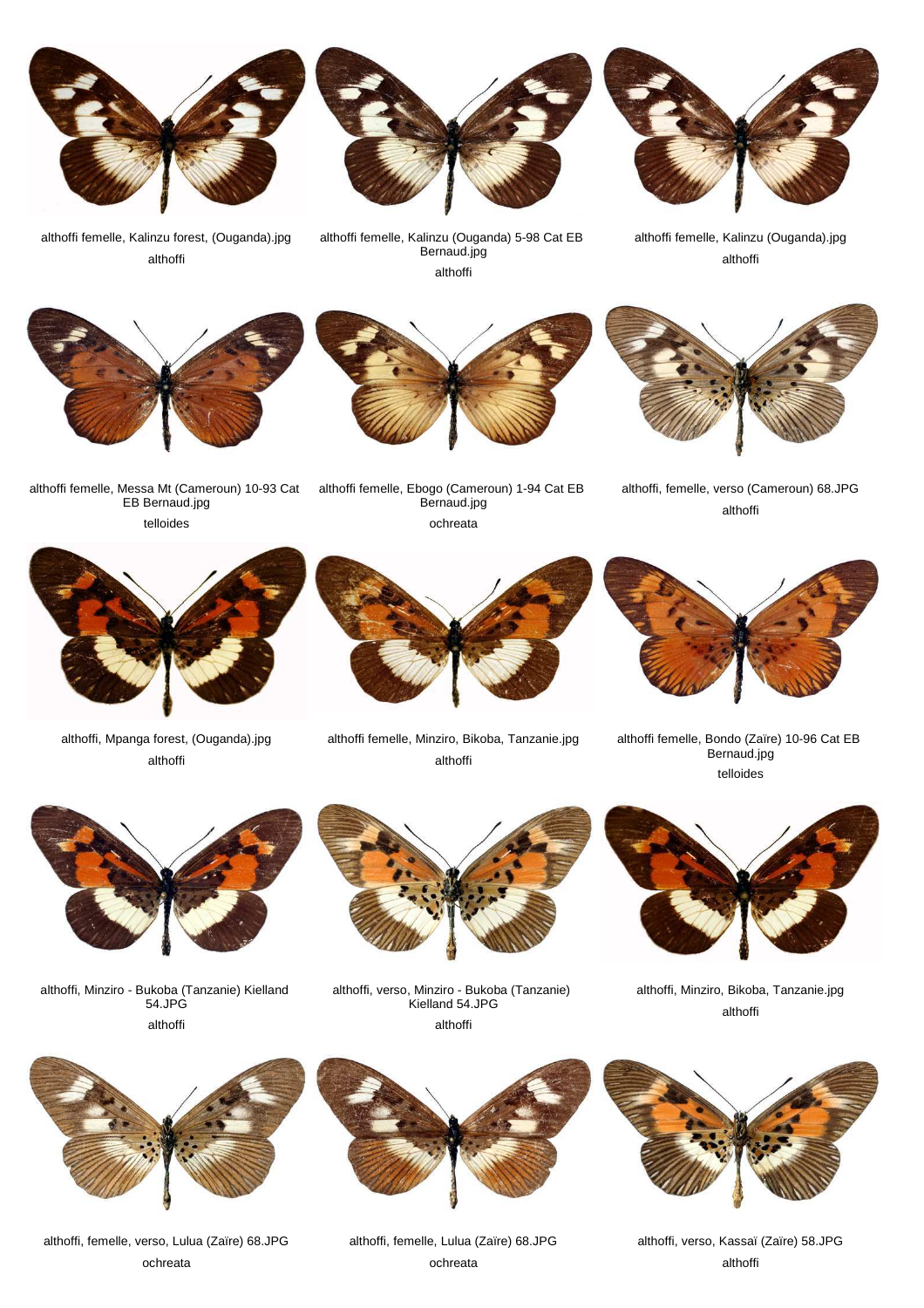

althoffi femelle, Kalinzu forest, (Ouganda).jpg althoffi

althoffi femelle, Kalinzu (Ouganda) 5-98 Cat EB Bernaud.jpg althoffi



althoffi femelle, Kalinzu (Ouganda).jpg althoffi







althoffi, femelle, verso (Cameroun) 68.JPG althoffi



althoffi femelle, Ebogo (Cameroun) 1-94 Cat EB Bernaud.jpg ochreata



althoffi, Mpanga forest, (Ouganda).jpg althoffi



althoffi femelle, Minziro, Bikoba, Tanzanie.jpg althoffi



althoffi femelle, Bondo (Zaïre) 10-96 Cat EB Bernaud.jpg telloides



althoffi, Minziro - Bukoba (Tanzanie) Kielland 54.JPG althoffi



althoffi, verso, Minziro - Bukoba (Tanzanie) Kielland 54.JPG

althoffi



althoffi, Minziro, Bikoba, Tanzanie.jpg althoffi



althoffi, femelle, verso, Lulua (Zaïre) 68.JPG ochreata



althoffi, femelle, Lulua (Zaïre) 68.JPG ochreata



althoffi, verso, Kassaï (Zaïre) 58.JPG althoffi